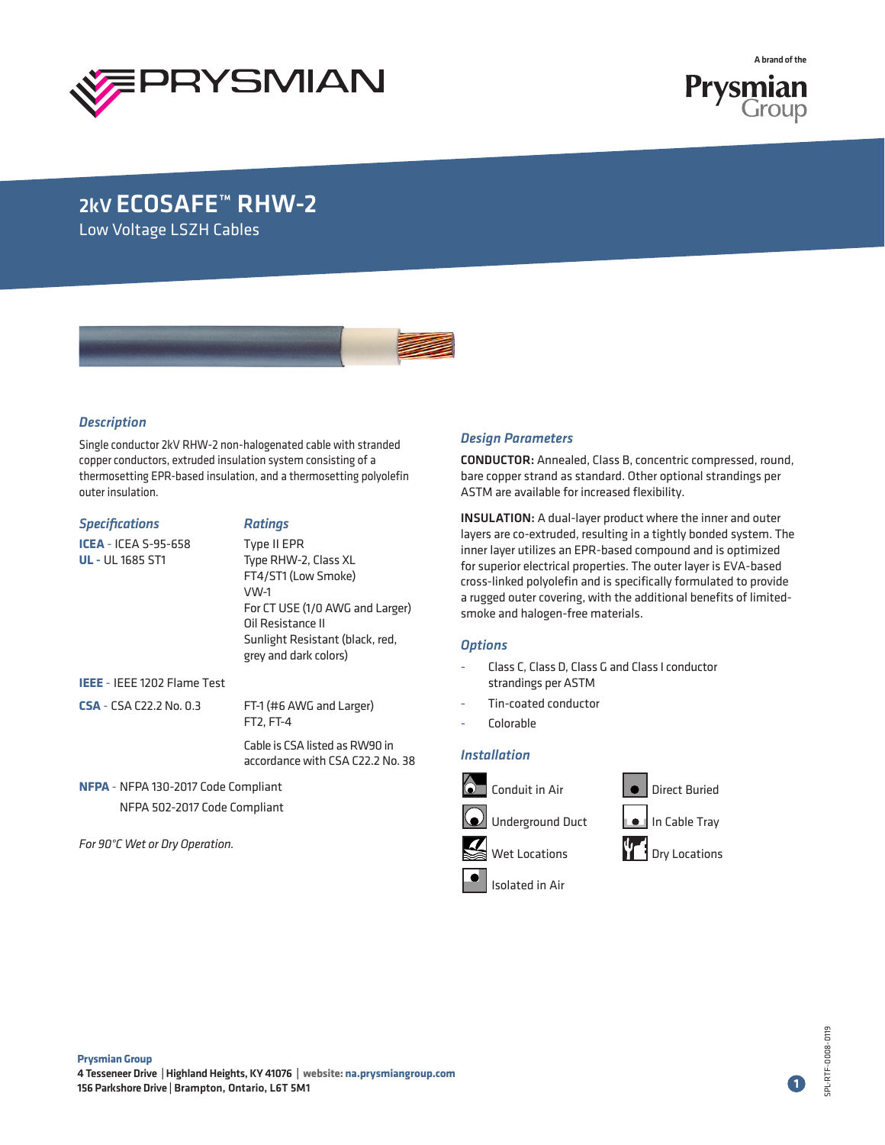



## 2kV ECOSAFE™ RHW-2

Low Voltage LSZH Cables



### *Description*

Single conductor 2kV RHW-2 non-halogenated cable with stranded copper conductors, extruded insulation system consisting of a thermosetting EPR-based insulation, and a thermosetting polyolefin outer insulation.

| <b>Specifications</b>                                  | <b>Ratings</b>                                                                                                                                                                         |  |  |  |
|--------------------------------------------------------|----------------------------------------------------------------------------------------------------------------------------------------------------------------------------------------|--|--|--|
| <b>ICEA</b> - ICEA S-95-658<br><b>UL</b> - UL 1685 ST1 | Type II EPR<br>Type RHW-2, Class XL<br>FT4/ST1 (Low Smoke)<br>VW-1<br>For CT USE (1/0 AWG and Larger)<br>Oil Resistance II<br>Sunlight Resistant (black, red,<br>grey and dark colors) |  |  |  |
| IEEE - IEEE 1202 Flame Test                            |                                                                                                                                                                                        |  |  |  |
| <b>CSA</b> - CSA C22.2 No. 0.3                         | FT-1 (#6 AWG and Larger)<br>FT2, FT-4                                                                                                                                                  |  |  |  |
|                                                        | Cable is CSA listed as RW90 in<br>accordance with CSA C22.2 No. 38                                                                                                                     |  |  |  |

**NFPA** - NFPA 130-2017 Code Compliant NFPA 502-2017 Code Compliant

*For 90°C Wet or Dry Operation.*

### *Design Parameters*

CONDUCTOR: Annealed, Class B, concentric compressed, round, bare copper strand as standard. Other optional strandings per ASTM are available for increased flexibility.

INSULATION: A dual-layer product where the inner and outer layers are co-extruded, resulting in a tightly bonded system. The inner layer utilizes an EPR-based compound and is optimized for superior electrical properties. The outer layer is EVA-based cross-linked polyolefin and is specifically formulated to provide a rugged outer covering, with the additional benefits of limitedsmoke and halogen-free materials.

### *Options*

- Class C, Class D, Class G and Class I conductor strandings per ASTM
- Tin-coated conductor
- Colorable

### *Installation*



**1**